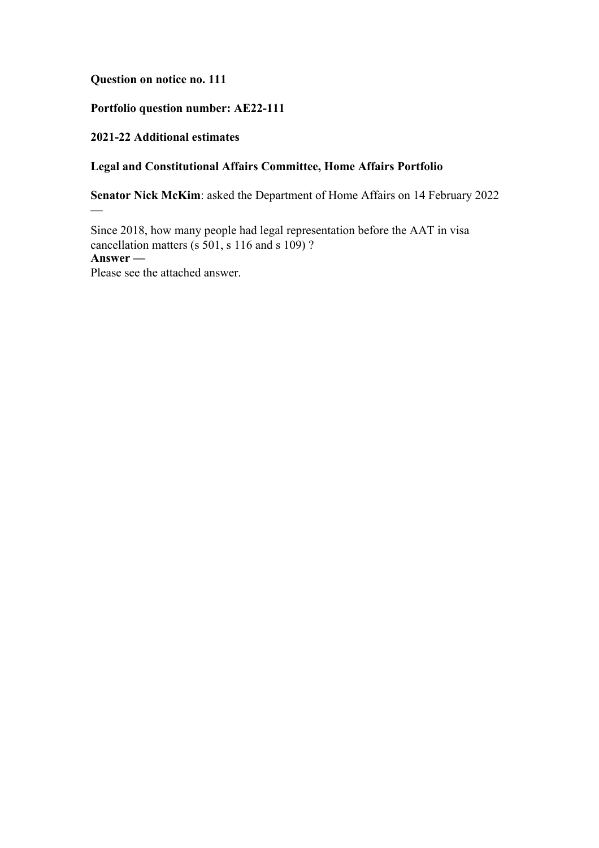**Question on notice no. 111**

# **Portfolio question number: AE22-111**

### **2021-22 Additional estimates**

 $\overline{\phantom{0}}$ 

# **Legal and Constitutional Affairs Committee, Home Affairs Portfolio**

**Senator Nick McKim**: asked the Department of Home Affairs on 14 February 2022

Since 2018, how many people had legal representation before the AAT in visa cancellation matters (s 501, s 116 and s 109) ? **Answer —** Please see the attached answer.